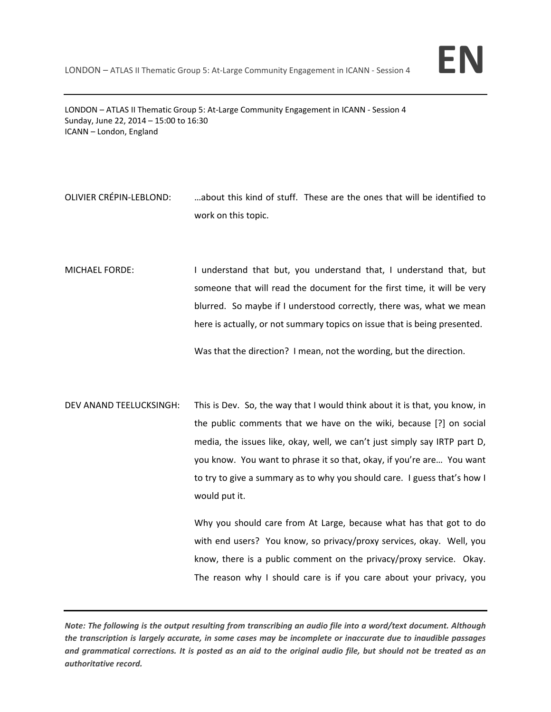

LONDON – ATLAS II Thematic Group 5: At-Large Community Engagement in ICANN - Session 4 Sunday, June 22, 2014 – 15:00 to 16:30 ICANN – London, England

- OLIVIER CRÉPIN‐LEBLOND: …about this kind of stuff. These are the ones that will be identified to work on this topic.
- MICHAEL FORDE: I understand that but, you understand that, I understand that, but someone that will read the document for the first time, it will be very blurred. So maybe if I understood correctly, there was, what we mean here is actually, or not summary topics on issue that is being presented.

Was that the direction? I mean, not the wording, but the direction.

DEV ANAND TEELUCKSINGH: This is Dev. So, the way that I would think about it is that, you know, in the public comments that we have on the wiki, because [?] on social media, the issues like, okay, well, we can't just simply say IRTP part D, you know. You want to phrase it so that, okay, if you're are… You want to try to give a summary as to why you should care. I guess that's how I would put it.

> Why you should care from At Large, because what has that got to do with end users? You know, so privacy/proxy services, okay. Well, you know, there is a public comment on the privacy/proxy service. Okay. The reason why I should care is if you care about your privacy, you

Note: The following is the output resulting from transcribing an audio file into a word/text document. Although the transcription is largely accurate, in some cases may be incomplete or inaccurate due to inaudible passages and grammatical corrections. It is posted as an aid to the original audio file, but should not be treated as an *authoritative record.*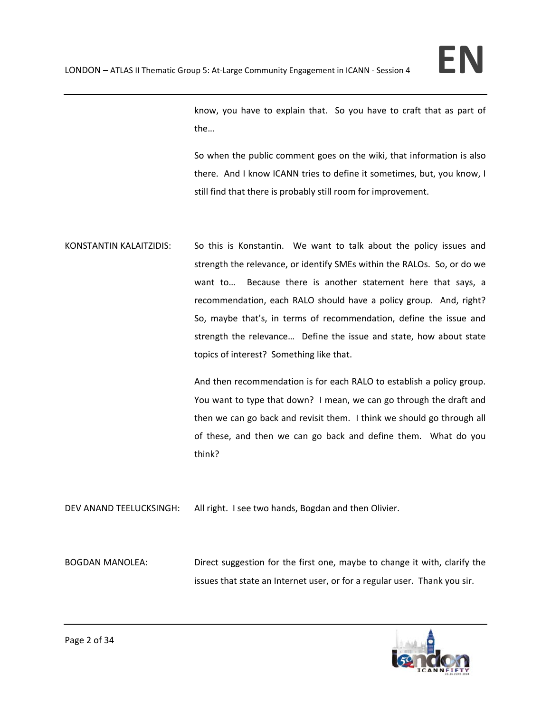know, you have to explain that. So you have to craft that as part of the…

So when the public comment goes on the wiki, that information is also there. And I know ICANN tries to define it sometimes, but, you know, I still find that there is probably still room for improvement.

KONSTANTIN KALAITZIDIS: So this is Konstantin. We want to talk about the policy issues and strength the relevance, or identify SMEs within the RALOs. So, or do we want to... Because there is another statement here that says, a recommendation, each RALO should have a policy group. And, right? So, maybe that's, in terms of recommendation, define the issue and strength the relevance... Define the issue and state, how about state topics of interest? Something like that.

> And then recommendation is for each RALO to establish a policy group. You want to type that down? I mean, we can go through the draft and then we can go back and revisit them. I think we should go through all of these, and then we can go back and define them. What do you think?

DEV ANAND TEELUCKSINGH: All right. I see two hands, Bogdan and then Olivier.

BOGDAN MANOLEA: Direct suggestion for the first one, maybe to change it with, clarify the issues that state an Internet user, or for a regular user. Thank you sir.

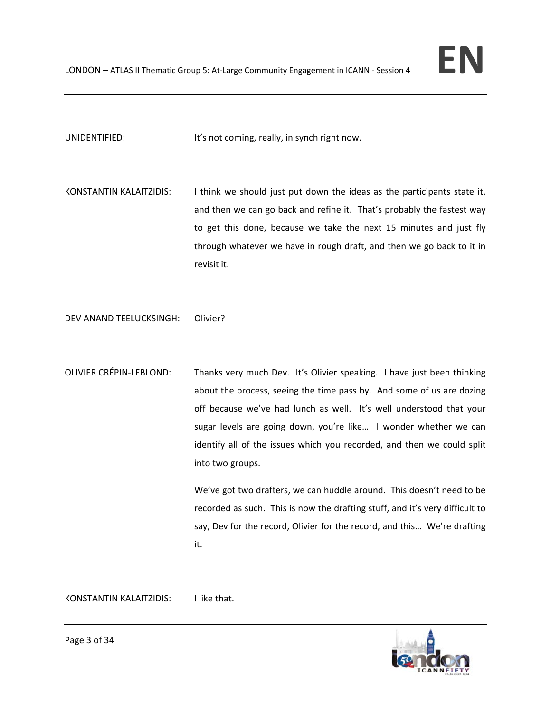UNIDENTIFIED: It's not coming, really, in synch right now.

KONSTANTIN KALAITZIDIS: I think we should just put down the ideas as the participants state it, and then we can go back and refine it. That's probably the fastest way to get this done, because we take the next 15 minutes and just fly through whatever we have in rough draft, and then we go back to it in revisit it.

DEV ANAND TEELUCKSINGH: Olivier?

OLIVIER CRÉPIN‐LEBLOND: Thanks very much Dev. It's Olivier speaking. I have just been thinking about the process, seeing the time pass by. And some of us are dozing off because we've had lunch as well. It's well understood that your sugar levels are going down, you're like... I wonder whether we can identify all of the issues which you recorded, and then we could split into two groups.

> We've got two drafters, we can huddle around. This doesn't need to be recorded as such. This is now the drafting stuff, and it's very difficult to say, Dev for the record, Olivier for the record, and this… We're drafting it.

KONSTANTIN KALAITZIDIS: I like that.

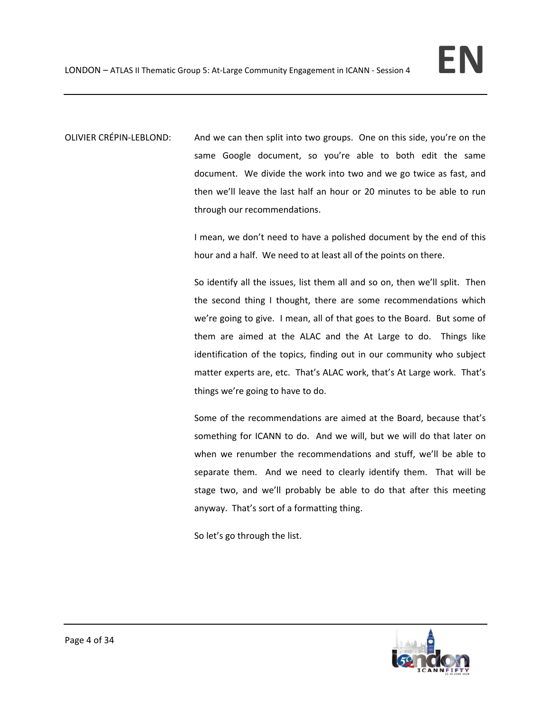OLIVIER CRÉPIN‐LEBLOND: And we can then split into two groups. One on this side, you're on the same Google document, so you're able to both edit the same document. We divide the work into two and we go twice as fast, and then we'll leave the last half an hour or 20 minutes to be able to run through our recommendations.

> I mean, we don't need to have a polished document by the end of this hour and a half. We need to at least all of the points on there.

> So identify all the issues, list them all and so on, then we'll split. Then the second thing I thought, there are some recommendations which we're going to give. I mean, all of that goes to the Board. But some of them are aimed at the ALAC and the At Large to do. Things like identification of the topics, finding out in our community who subject matter experts are, etc. That's ALAC work, that's At Large work. That's things we're going to have to do.

> Some of the recommendations are aimed at the Board, because that's something for ICANN to do. And we will, but we will do that later on when we renumber the recommendations and stuff, we'll be able to separate them. And we need to clearly identify them. That will be stage two, and we'll probably be able to do that after this meeting anyway. That's sort of a formatting thing.

So let's go through the list.

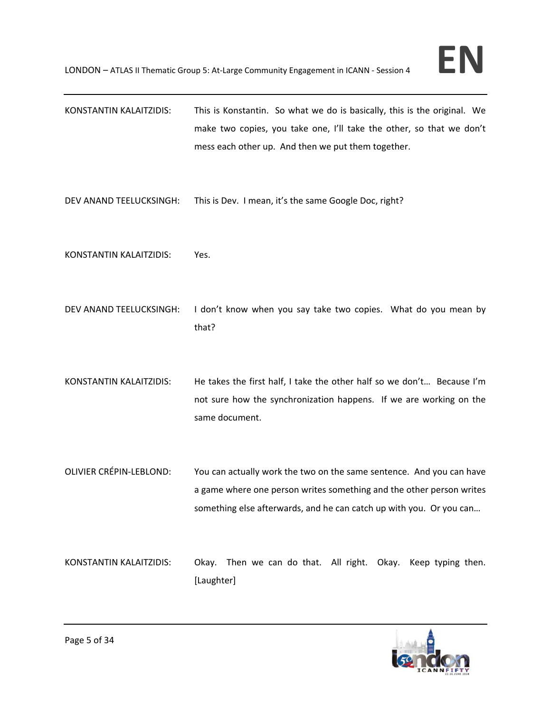- KONSTANTIN KALAITZIDIS: This is Konstantin. So what we do is basically, this is the original. We make two copies, you take one, I'll take the other, so that we don't mess each other up. And then we put them together.
- DEV ANAND TEELUCKSINGH: This is Dev. I mean, it's the same Google Doc, right?
- KONSTANTIN KALAITZIDIS: Yes.
- DEV ANAND TEELUCKSINGH: I don't know when you say take two copies. What do you mean by that?
- KONSTANTIN KALAITZIDIS: He takes the first half, I take the other half so we don't… Because I'm not sure how the synchronization happens. If we are working on the same document.
- OLIVIER CRÉPIN‐LEBLOND: You can actually work the two on the same sentence. And you can have a game where one person writes something and the other person writes something else afterwards, and he can catch up with you. Or you can…
- KONSTANTIN KALAITZIDIS: Okay. Then we can do that. All right. Okay. Keep typing then. [Laughter]

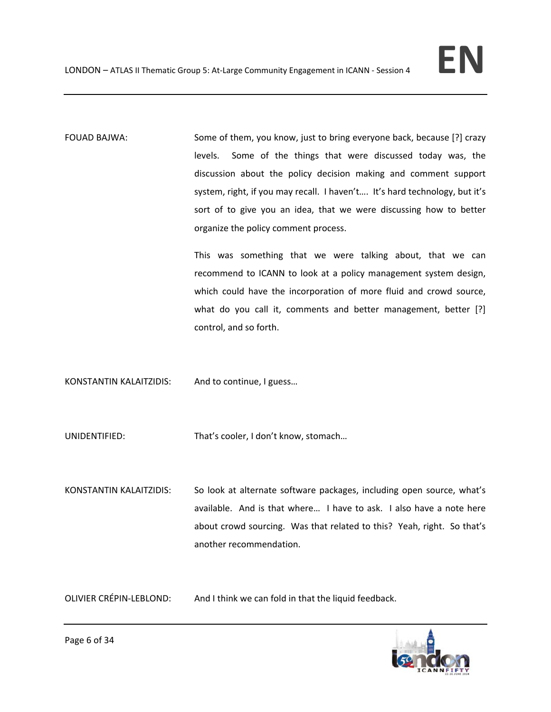FOUAD BAJWA: Some of them, you know, just to bring everyone back, because [?] crazy levels. Some of the things that were discussed today was, the discussion about the policy decision making and comment support system, right, if you may recall. I haven't…. It's hard technology, but it's sort of to give you an idea, that we were discussing how to better organize the policy comment process.

> This was something that we were talking about, that we can recommend to ICANN to look at a policy management system design, which could have the incorporation of more fluid and crowd source, what do you call it, comments and better management, better [?] control, and so forth.

KONSTANTIN KALAITZIDIS: And to continue, I guess…

UNIDENTIFIED: That's cooler, I don't know, stomach…

KONSTANTIN KALAITZIDIS: So look at alternate software packages, including open source, what's available. And is that where… I have to ask. I also have a note here about crowd sourcing. Was that related to this? Yeah, right. So that's another recommendation.

OLIVIER CRÉPIN‐LEBLOND: And I think we can fold in that the liquid feedback.

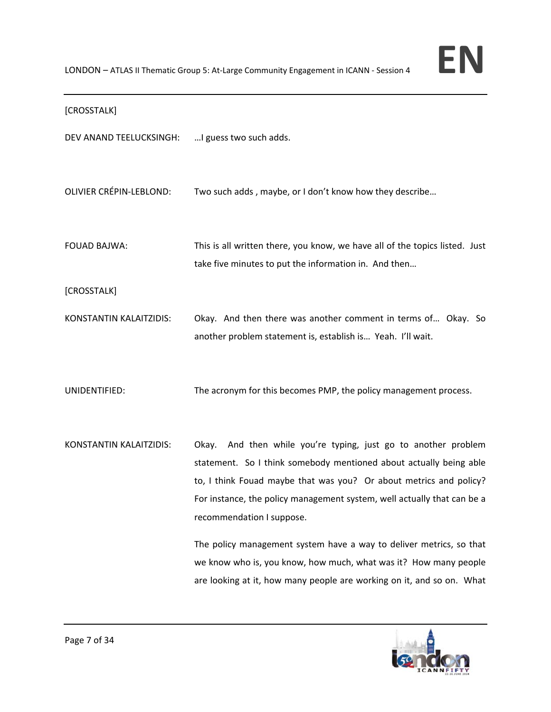## [CROSSTALK]

DEV ANAND TEELUCKSINGH: …I guess two such adds.

OLIVIER CRÉPIN‐LEBLOND: Two such adds , maybe, or I don't know how they describe…

FOUAD BAJWA: This is all written there, you know, we have all of the topics listed. Just take five minutes to put the information in. And then…

[CROSSTALK]

KONSTANTIN KALAITZIDIS: Okay. And then there was another comment in terms of… Okay. So another problem statement is, establish is… Yeah. I'll wait.

UNIDENTIFIED: The acronym for this becomes PMP, the policy management process.

KONSTANTIN KALAITZIDIS: Okay. And then while you're typing, just go to another problem statement. So I think somebody mentioned about actually being able to, I think Fouad maybe that was you? Or about metrics and policy? For instance, the policy management system, well actually that can be a recommendation I suppose.

> The policy management system have a way to deliver metrics, so that we know who is, you know, how much, what was it? How many people are looking at it, how many people are working on it, and so on. What

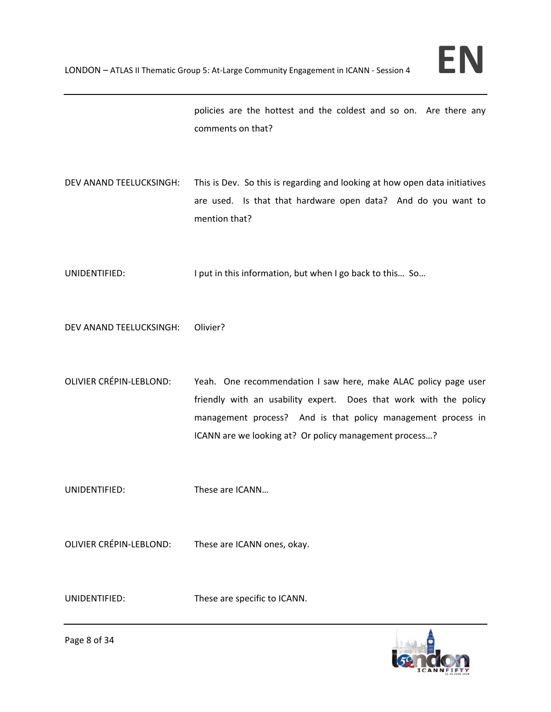policies are the hottest and the coldest and so on. Are there any comments on that?

DEV ANAND TEELUCKSINGH: This is Dev. So this is regarding and looking at how open data initiatives are used. Is that that hardware open data? And do you want to mention that?

UNIDENTIFIED: I put in this information, but when I go back to this... So...

DEV ANAND TEELUCKSINGH: Olivier?

OLIVIER CRÉPIN‐LEBLOND: Yeah. One recommendation I saw here, make ALAC policy page user friendly with an usability expert. Does that work with the policy management process? And is that policy management process in ICANN are we looking at? Or policy management process…?

UNIDENTIFIED: These are ICANN…

OLIVIER CRÉPIN‐LEBLOND: These are ICANN ones, okay.

UNIDENTIFIED: These are specific to ICANN.

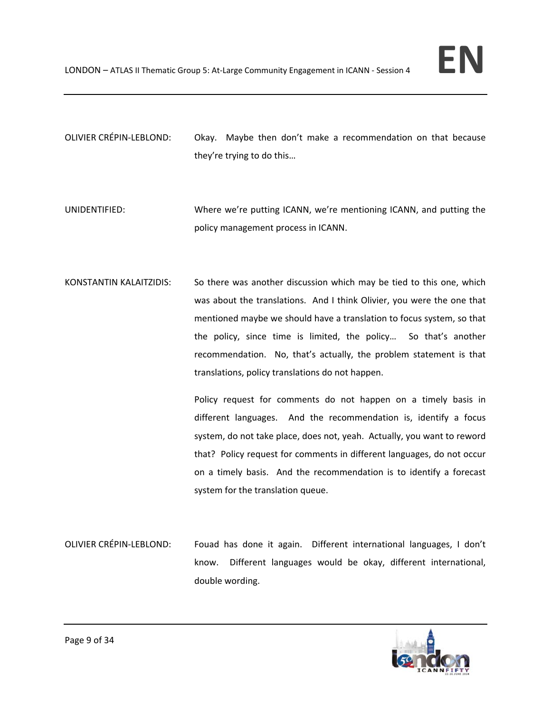- OLIVIER CRÉPIN‐LEBLOND: Okay. Maybe then don't make a recommendation on that because they're trying to do this…
- UNIDENTIFIED: Where we're putting ICANN, we're mentioning ICANN, and putting the policy management process in ICANN.
- KONSTANTIN KALAITZIDIS: So there was another discussion which may be tied to this one, which was about the translations. And I think Olivier, you were the one that mentioned maybe we should have a translation to focus system, so that the policy, since time is limited, the policy... So that's another recommendation. No, that's actually, the problem statement is that translations, policy translations do not happen.

Policy request for comments do not happen on a timely basis in different languages. And the recommendation is, identify a focus system, do not take place, does not, yeah. Actually, you want to reword that? Policy request for comments in different languages, do not occur on a timely basis. And the recommendation is to identify a forecast system for the translation queue.

OLIVIER CRÉPIN‐LEBLOND: Fouad has done it again. Different international languages, I don't know. Different languages would be okay, different international, double wording.

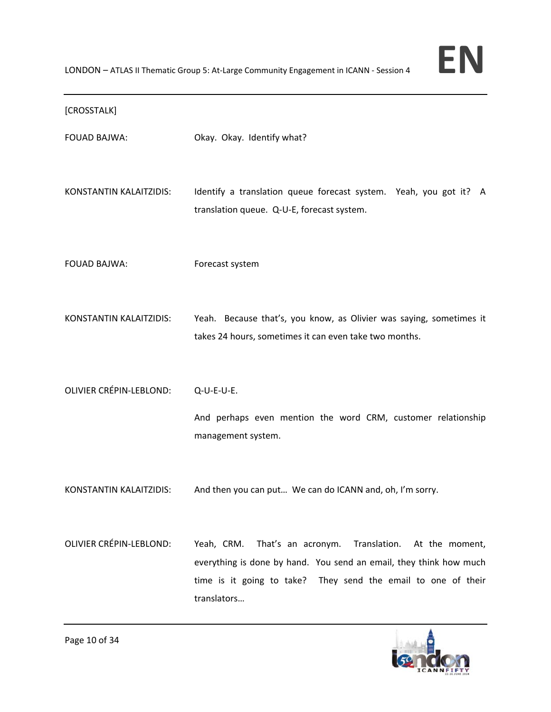LONDON – ATLAS II Thematic Group 5: At‐Large Community Engagement in ICANN ‐ Session <sup>4</sup> **EN**

## [CROSSTALK]

| <b>FOUAD BAJWA:</b> |  |  | Okay. Okay. Identify what? |
|---------------------|--|--|----------------------------|
|---------------------|--|--|----------------------------|

KONSTANTIN KALAITZIDIS: Identify a translation queue forecast system. Yeah, you got it? A translation queue. Q‐U‐E, forecast system.

FOUAD BAJWA: Forecast system

KONSTANTIN KALAITZIDIS: Yeah. Because that's, you know, as Olivier was saying, sometimes it takes 24 hours, sometimes it can even take two months.

OLIVIER CRÉPIN‐LEBLOND: Q‐U‐E‐U‐E.

And perhaps even mention the word CRM, customer relationship management system.

- KONSTANTIN KALAITZIDIS: And then you can put… We can do ICANN and, oh, I'm sorry.
- OLIVIER CRÉPIN-LEBLOND: Yeah, CRM. That's an acronym. Translation. At the moment, everything is done by hand. You send an email, they think how much time is it going to take? They send the email to one of their translators…

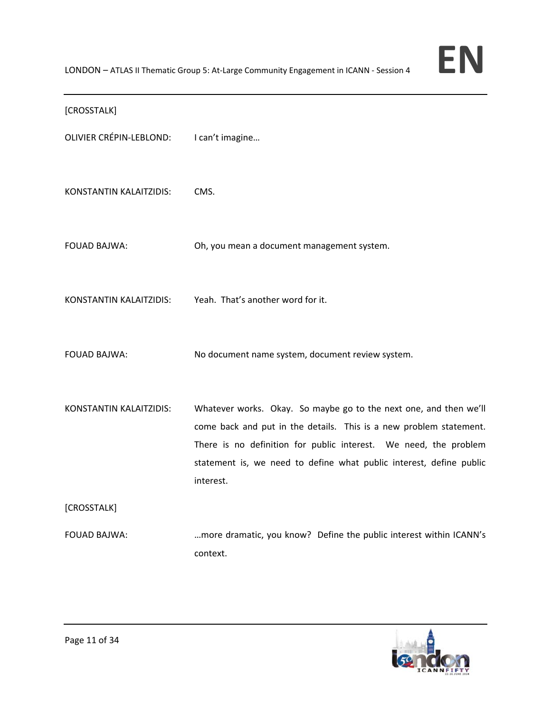## [CROSSTALK]

| <b>OLIVIER CRÉPIN-LEBLOND:</b> | I can't imagine                                                                                                                                                                                                                                                                                 |
|--------------------------------|-------------------------------------------------------------------------------------------------------------------------------------------------------------------------------------------------------------------------------------------------------------------------------------------------|
| KONSTANTIN KALAITZIDIS:        | CMS.                                                                                                                                                                                                                                                                                            |
| <b>FOUAD BAJWA:</b>            | Oh, you mean a document management system.                                                                                                                                                                                                                                                      |
| KONSTANTIN KALAITZIDIS:        | Yeah. That's another word for it.                                                                                                                                                                                                                                                               |
| <b>FOUAD BAJWA:</b>            | No document name system, document review system.                                                                                                                                                                                                                                                |
| KONSTANTIN KALAITZIDIS:        | Whatever works. Okay. So maybe go to the next one, and then we'll<br>come back and put in the details. This is a new problem statement.<br>There is no definition for public interest. We need, the problem<br>statement is, we need to define what public interest, define public<br>interest. |
| [CROSSTALK]                    |                                                                                                                                                                                                                                                                                                 |
| <b>FOUAD BAJWA:</b>            | more dramatic, you know? Define the public interest within ICANN's<br>context.                                                                                                                                                                                                                  |

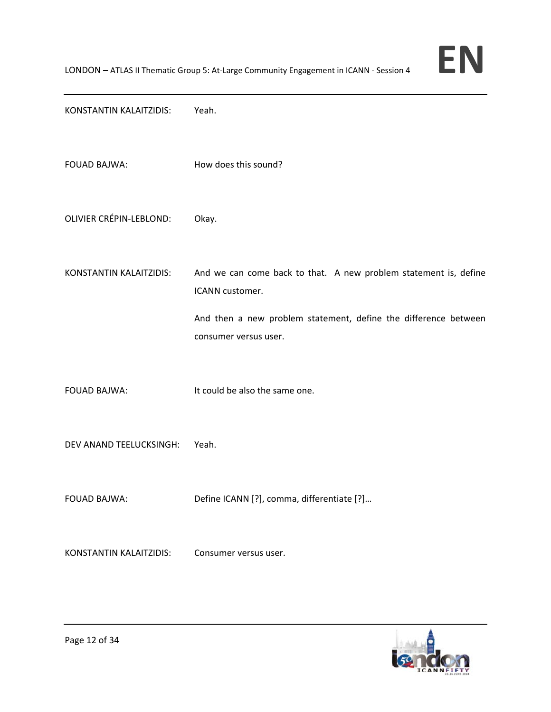

KONSTANTIN KALAITZIDIS: Yeah.

FOUAD BAJWA: How does this sound?

OLIVIER CRÉPIN‐LEBLOND: Okay.

KONSTANTIN KALAITZIDIS: And we can come back to that. A new problem statement is, define ICANN customer.

> And then a new problem statement, define the difference between consumer versus user.

FOUAD BAJWA: It could be also the same one.

DEV ANAND TEELUCKSINGH: Yeah.

FOUAD BAJWA: Define ICANN [?], comma, differentiate [?]…

KONSTANTIN KALAITZIDIS: Consumer versus user.

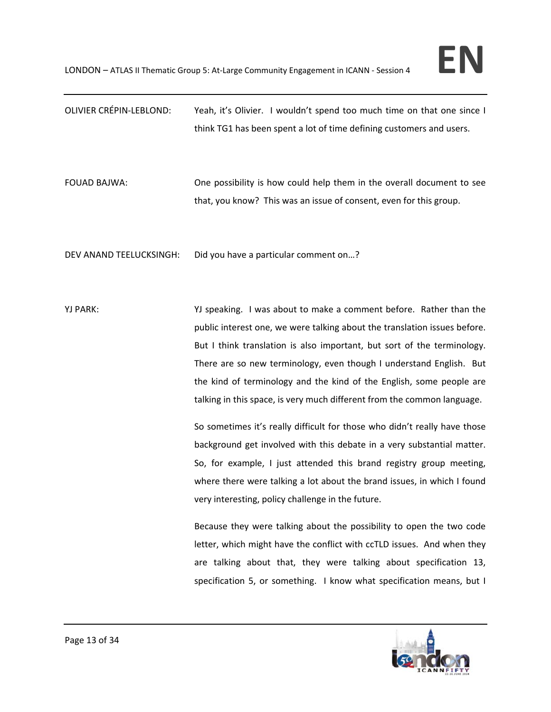| <b>OLIVIER CRÉPIN-LEBLOND:</b> | Yeah, it's Olivier. I wouldn't spend too much time on that one since I<br>think TG1 has been spent a lot of time defining customers and users.                                                                                                                                                                                                                                                                                                       |
|--------------------------------|------------------------------------------------------------------------------------------------------------------------------------------------------------------------------------------------------------------------------------------------------------------------------------------------------------------------------------------------------------------------------------------------------------------------------------------------------|
| <b>FOUAD BAJWA:</b>            | One possibility is how could help them in the overall document to see<br>that, you know? This was an issue of consent, even for this group.                                                                                                                                                                                                                                                                                                          |
| DEV ANAND TEELUCKSINGH:        | Did you have a particular comment on?                                                                                                                                                                                                                                                                                                                                                                                                                |
| YJ PARK:                       | YJ speaking. I was about to make a comment before. Rather than the<br>public interest one, we were talking about the translation issues before.<br>But I think translation is also important, but sort of the terminology.<br>There are so new terminology, even though I understand English. But<br>the kind of terminology and the kind of the English, some people are<br>talking in this space, is very much different from the common language. |
|                                | So sometimes it's really difficult for those who didn't really have those<br>background get involved with this debate in a very substantial matter.<br>So, for example, I just attended this brand registry group meeting,<br>where there were talking a lot about the brand issues, in which I found<br>very interesting, policy challenge in the future.                                                                                           |
|                                | Because they were talking about the possibility to open the two code<br>letter, which might have the conflict with ccTLD issues. And when they<br>are talking about that, they were talking about specification 13,<br>specification 5, or something. I know what specification means, but I                                                                                                                                                         |

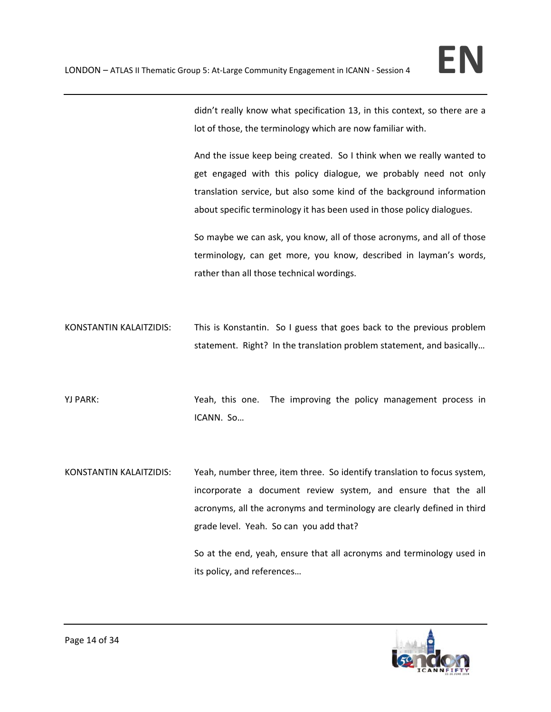didn't really know what specification 13, in this context, so there are a lot of those, the terminology which are now familiar with.

And the issue keep being created. So I think when we really wanted to get engaged with this policy dialogue, we probably need not only translation service, but also some kind of the background information about specific terminology it has been used in those policy dialogues.

So maybe we can ask, you know, all of those acronyms, and all of those terminology, can get more, you know, described in layman's words, rather than all those technical wordings.

KONSTANTIN KALAITZIDIS: This is Konstantin. So I guess that goes back to the previous problem statement. Right? In the translation problem statement, and basically…

YJ PARK: Yurk PARK: Yeah, this one. The improving the policy management process in ICANN. So…

KONSTANTIN KALAITZIDIS: Yeah, number three, item three. So identify translation to focus system, incorporate a document review system, and ensure that the all acronyms, all the acronyms and terminology are clearly defined in third grade level. Yeah. So can you add that?

> So at the end, yeah, ensure that all acronyms and terminology used in its policy, and references…

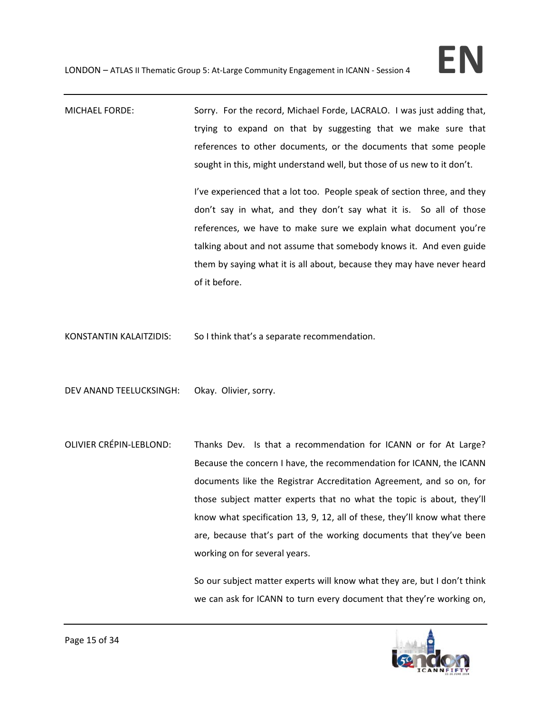# MICHAEL FORDE: Sorry. For the record, Michael Forde, LACRALO. I was just adding that, trying to expand on that by suggesting that we make sure that references to other documents, or the documents that some people sought in this, might understand well, but those of us new to it don't.

I've experienced that a lot too. People speak of section three, and they don't say in what, and they don't say what it is. So all of those references, we have to make sure we explain what document you're talking about and not assume that somebody knows it. And even guide them by saying what it is all about, because they may have never heard of it before.

KONSTANTIN KALAITZIDIS: So I think that's a separate recommendation.

DEV ANAND TEELUCKSINGH: Okay. Olivier, sorry.

OLIVIER CRÉPIN-LEBLOND: Thanks Dev. Is that a recommendation for ICANN or for At Large? Because the concern I have, the recommendation for ICANN, the ICANN documents like the Registrar Accreditation Agreement, and so on, for those subject matter experts that no what the topic is about, they'll know what specification 13, 9, 12, all of these, they'll know what there are, because that's part of the working documents that they've been working on for several years.

> So our subject matter experts will know what they are, but I don't think we can ask for ICANN to turn every document that they're working on,

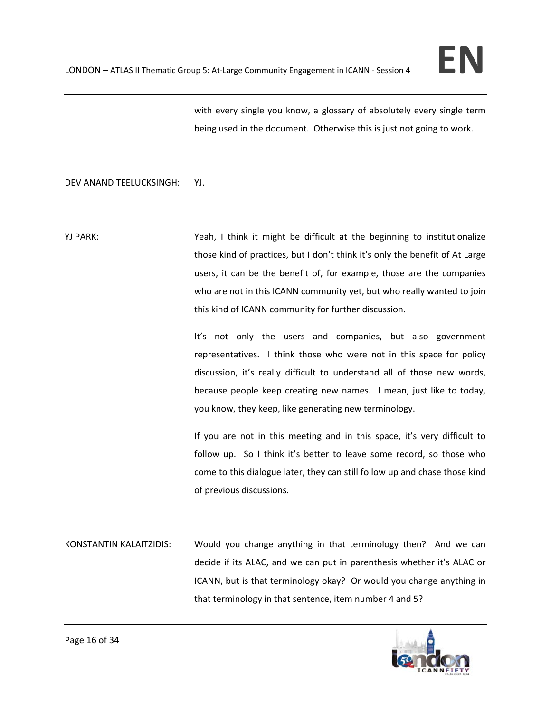with every single you know, a glossary of absolutely every single term being used in the document. Otherwise this is just not going to work.

## DEV ANAND TEELUCKSINGH: YJ.

YJ PARK: Yeah, I think it might be difficult at the beginning to institutionalize those kind of practices, but I don't think it's only the benefit of At Large users, it can be the benefit of, for example, those are the companies who are not in this ICANN community yet, but who really wanted to join this kind of ICANN community for further discussion.

> It's not only the users and companies, but also government representatives. I think those who were not in this space for policy discussion, it's really difficult to understand all of those new words, because people keep creating new names. I mean, just like to today, you know, they keep, like generating new terminology.

> If you are not in this meeting and in this space, it's very difficult to follow up. So I think it's better to leave some record, so those who come to this dialogue later, they can still follow up and chase those kind of previous discussions.

KONSTANTIN KALAITZIDIS: Would you change anything in that terminology then? And we can decide if its ALAC, and we can put in parenthesis whether it's ALAC or ICANN, but is that terminology okay? Or would you change anything in that terminology in that sentence, item number 4 and 5?

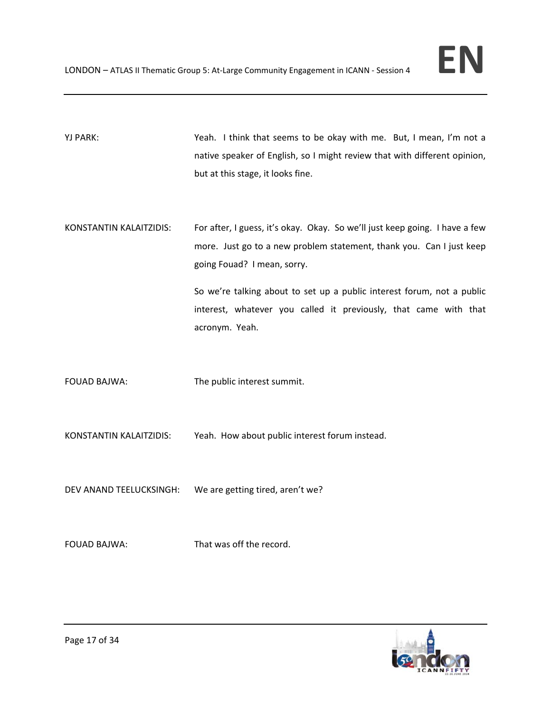

YJ PARK: Yu PARK: Yeah. I think that seems to be okay with me. But, I mean, I'm not a native speaker of English, so I might review that with different opinion, but at this stage, it looks fine.

KONSTANTIN KALAITZIDIS: For after, I guess, it's okay. Okay. So we'll just keep going. I have a few more. Just go to a new problem statement, thank you. Can I just keep going Fouad? I mean, sorry.

> So we're talking about to set up a public interest forum, not a public interest, whatever you called it previously, that came with that acronym. Yeah.

FOUAD BAJWA: The public interest summit.

KONSTANTIN KALAITZIDIS: Yeah. How about public interest forum instead.

DEV ANAND TEELUCKSINGH: We are getting tired, aren't we?

FOUAD BAJWA: That was off the record.

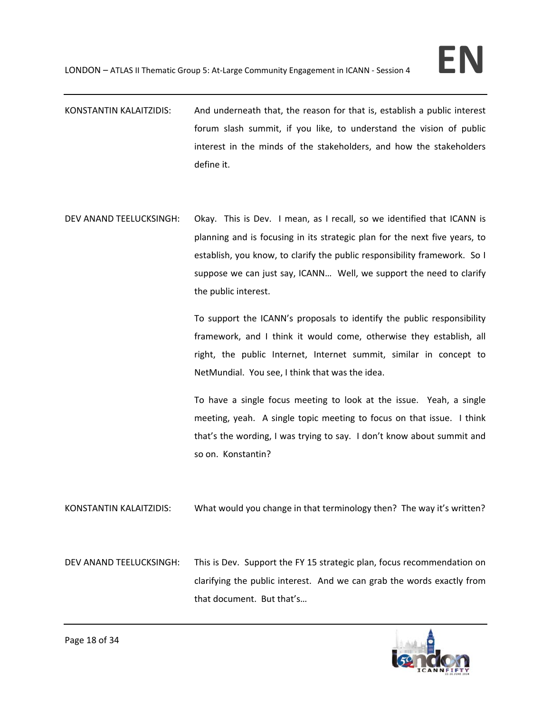- KONSTANTIN KALAITZIDIS: And underneath that, the reason for that is, establish a public interest forum slash summit, if you like, to understand the vision of public interest in the minds of the stakeholders, and how the stakeholders define it.
- DEV ANAND TEELUCKSINGH: Okay. This is Dev. I mean, as I recall, so we identified that ICANN is planning and is focusing in its strategic plan for the next five years, to establish, you know, to clarify the public responsibility framework. So I suppose we can just say, ICANN… Well, we support the need to clarify the public interest.

To support the ICANN's proposals to identify the public responsibility framework, and I think it would come, otherwise they establish, all right, the public Internet, Internet summit, similar in concept to NetMundial. You see, I think that was the idea.

To have a single focus meeting to look at the issue. Yeah, a single meeting, yeah. A single topic meeting to focus on that issue. I think that's the wording, I was trying to say. I don't know about summit and so on. Konstantin?

- KONSTANTIN KALAITZIDIS: What would you change in that terminology then? The way it's written?
- DEV ANAND TEELUCKSINGH: This is Dev. Support the FY 15 strategic plan, focus recommendation on clarifying the public interest. And we can grab the words exactly from that document. But that's…

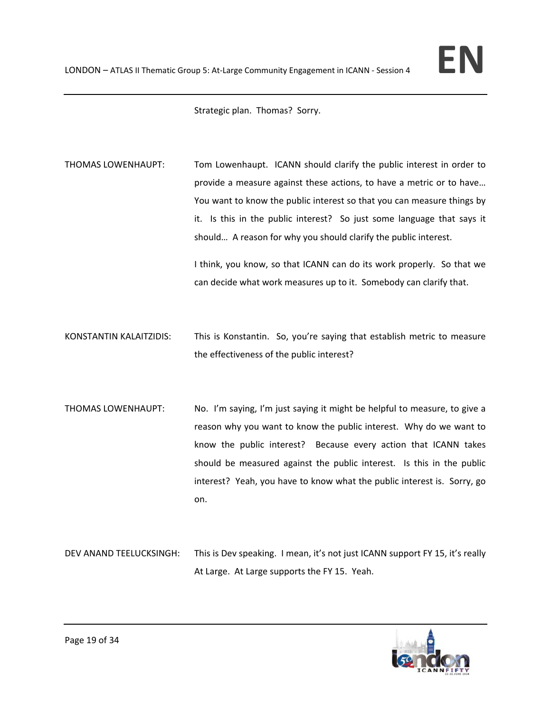Strategic plan. Thomas? Sorry.

THOMAS LOWENHAUPT: Tom Lowenhaupt. ICANN should clarify the public interest in order to provide a measure against these actions, to have a metric or to have… You want to know the public interest so that you can measure things by it. Is this in the public interest? So just some language that says it should… A reason for why you should clarify the public interest. I think, you know, so that ICANN can do its work properly. So that we

KONSTANTIN KALAITZIDIS: This is Konstantin. So, you're saying that establish metric to measure the effectiveness of the public interest?

can decide what work measures up to it. Somebody can clarify that.

THOMAS LOWENHAUPT: No. I'm saying, I'm just saying it might be helpful to measure, to give a reason why you want to know the public interest. Why do we want to know the public interest? Because every action that ICANN takes should be measured against the public interest. Is this in the public interest? Yeah, you have to know what the public interest is. Sorry, go on.

DEV ANAND TEELUCKSINGH: This is Dev speaking. I mean, it's not just ICANN support FY 15, it's really At Large. At Large supports the FY 15. Yeah.

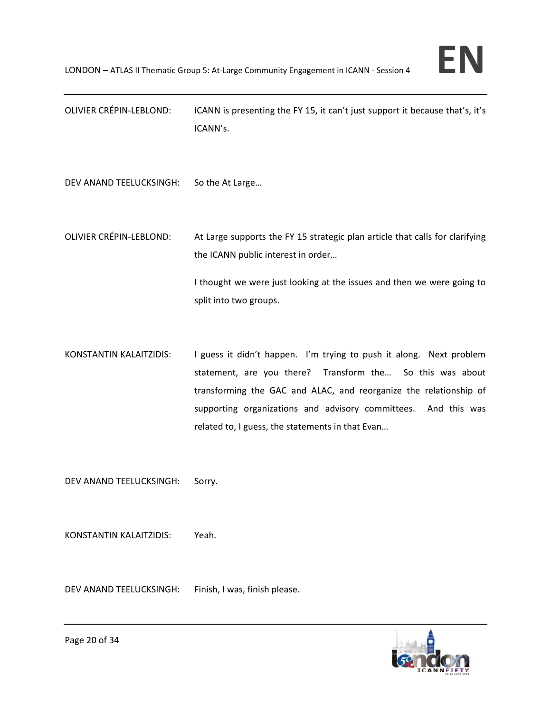OLIVIER CRÉPIN‐LEBLOND: ICANN is presenting the FY 15, it can't just support it because that's, it's ICANN's.

DEV ANAND TEELUCKSINGH: So the At Large…

OLIVIER CRÉPIN‐LEBLOND: At Large supports the FY 15 strategic plan article that calls for clarifying the ICANN public interest in order…

> I thought we were just looking at the issues and then we were going to split into two groups.

KONSTANTIN KALAITZIDIS: I guess it didn't happen. I'm trying to push it along. Next problem statement, are you there? Transform the... So this was about transforming the GAC and ALAC, and reorganize the relationship of supporting organizations and advisory committees. And this was related to, I guess, the statements in that Evan…

DEV ANAND TEELUCKSINGH: Sorry.

KONSTANTIN KALAITZIDIS: Yeah.

DEV ANAND TEELUCKSINGH: Finish, I was, finish please.

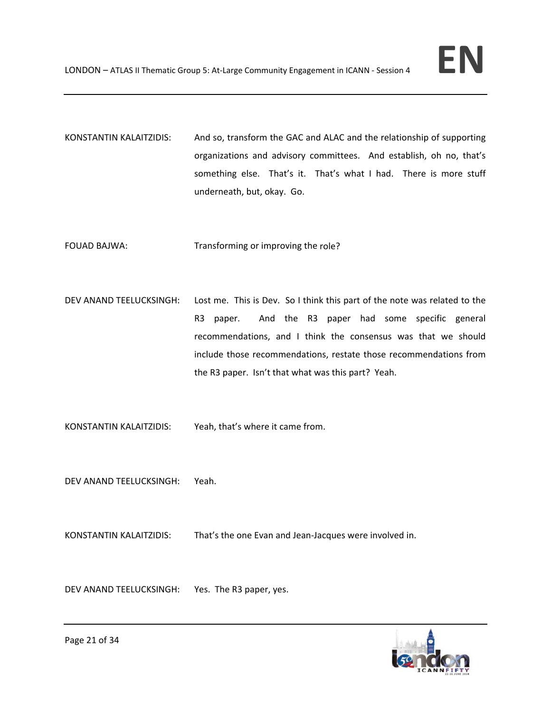- KONSTANTIN KALAITZIDIS: And so, transform the GAC and ALAC and the relationship of supporting organizations and advisory committees. And establish, oh no, that's something else. That's it. That's what I had. There is more stuff underneath, but, okay. Go.
- FOUAD BAJWA: Transforming or improving the role?
- DEV ANAND TEELUCKSINGH: Lost me. This is Dev. So I think this part of the note was related to the R3 paper. And the R3 paper had some specific general recommendations, and I think the consensus was that we should include those recommendations, restate those recommendations from the R3 paper. Isn't that what was this part? Yeah.
- KONSTANTIN KALAITZIDIS: Yeah, that's where it came from.
- DEV ANAND TEELUCKSINGH: Yeah.
- KONSTANTIN KALAITZIDIS: That's the one Evan and Jean-Jacques were involved in.
- DEV ANAND TEELUCKSINGH: Yes. The R3 paper, yes.

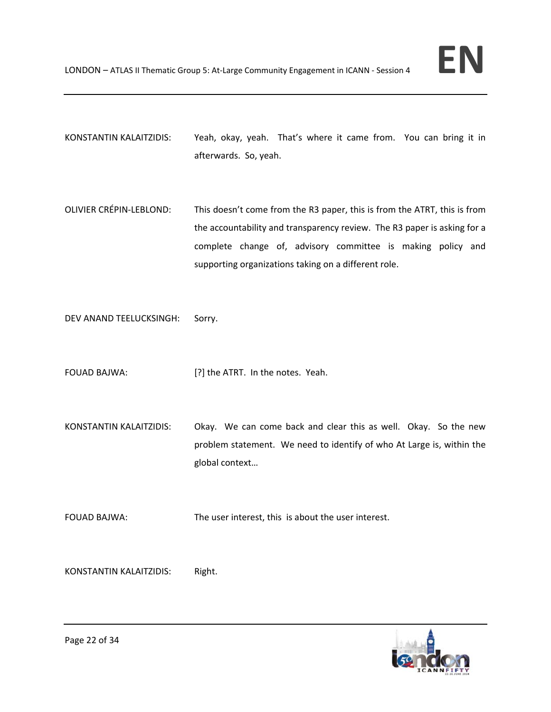- KONSTANTIN KALAITZIDIS: Yeah, okay, yeah. That's where it came from. You can bring it in afterwards. So, yeah.
- OLIVIER CRÉPIN‐LEBLOND: This doesn't come from the R3 paper, this is from the ATRT, this is from the accountability and transparency review. The R3 paper is asking for a complete change of, advisory committee is making policy and supporting organizations taking on a different role.

DEV ANAND TEELUCKSINGH: Sorry.

FOUAD BAJWA: [?] the ATRT. In the notes. Yeah.

KONSTANTIN KALAITZIDIS: Okay. We can come back and clear this as well. Okay. So the new problem statement. We need to identify of who At Large is, within the global context…

FOUAD BAJWA: The user interest, this is about the user interest.

KONSTANTIN KALAITZIDIS: Right.

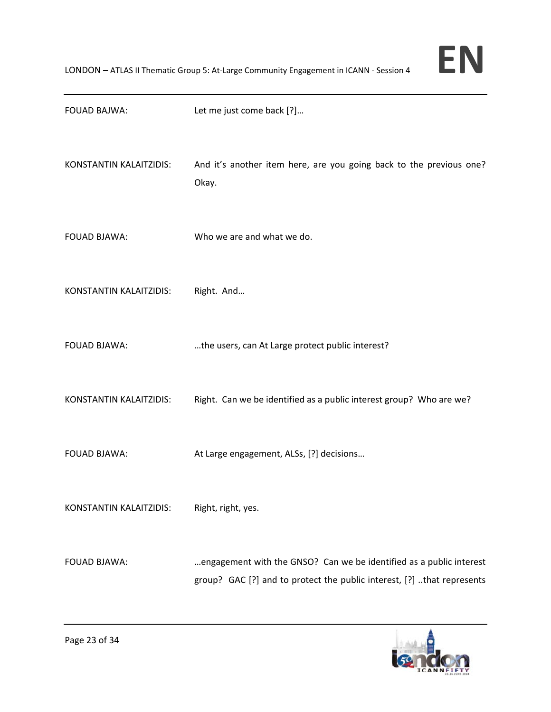| <b>FOUAD BAJWA:</b>     | Let me just come back [?]                                                                                                                     |
|-------------------------|-----------------------------------------------------------------------------------------------------------------------------------------------|
| KONSTANTIN KALAITZIDIS: | And it's another item here, are you going back to the previous one?<br>Okay.                                                                  |
| <b>FOUAD BJAWA:</b>     | Who we are and what we do.                                                                                                                    |
| KONSTANTIN KALAITZIDIS: | Right. And                                                                                                                                    |
| <b>FOUAD BJAWA:</b>     | the users, can At Large protect public interest?                                                                                              |
| KONSTANTIN KALAITZIDIS: | Right. Can we be identified as a public interest group? Who are we?                                                                           |
| <b>FOUAD BJAWA:</b>     | At Large engagement, ALSs, [?] decisions                                                                                                      |
| KONSTANTIN KALAITZIDIS: | Right, right, yes.                                                                                                                            |
| FOUAD BJAWA:            | engagement with the GNSO? Can we be identified as a public interest<br>group? GAC [?] and to protect the public interest, [?] that represents |

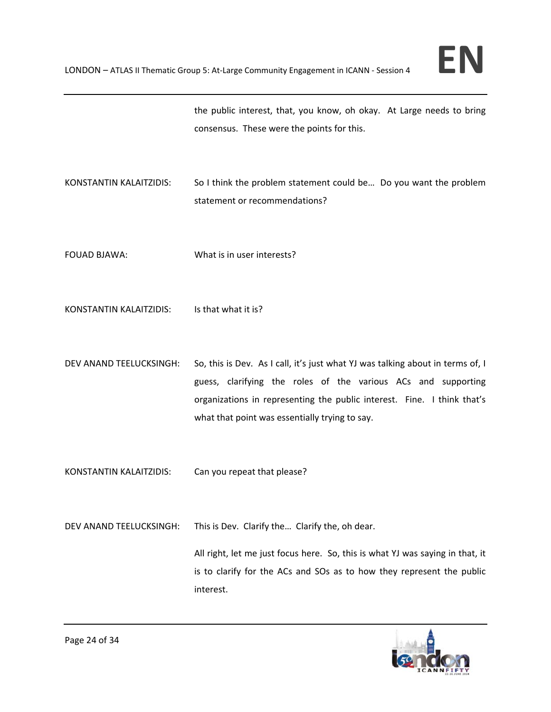the public interest, that, you know, oh okay. At Large needs to bring consensus. These were the points for this.

- KONSTANTIN KALAITZIDIS: So I think the problem statement could be… Do you want the problem statement or recommendations?
- FOUAD BJAWA: What is in user interests?
- KONSTANTIN KALAITZIDIS: Is that what it is?
- DEV ANAND TEELUCKSINGH: So, this is Dev. As I call, it's just what YJ was talking about in terms of, I guess, clarifying the roles of the various ACs and supporting organizations in representing the public interest. Fine. I think that's what that point was essentially trying to say.

KONSTANTIN KALAITZIDIS: Can you repeat that please?

DEV ANAND TEELUCKSINGH: This is Dev. Clarify the… Clarify the, oh dear.

All right, let me just focus here. So, this is what YJ was saying in that, it is to clarify for the ACs and SOs as to how they represent the public interest.

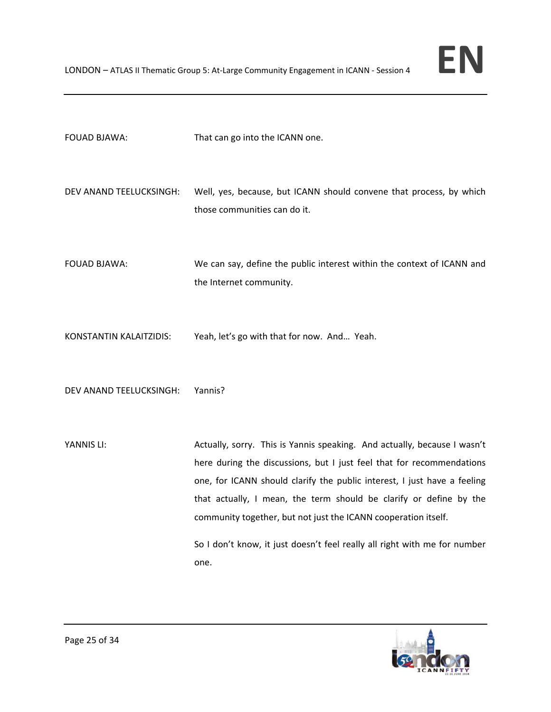- DEV ANAND TEELUCKSINGH: Well, yes, because, but ICANN should convene that process, by which those communities can do it.
- FOUAD BJAWA: We can say, define the public interest within the context of ICANN and the Internet community.
- KONSTANTIN KALAITZIDIS: Yeah, let's go with that for now. And… Yeah.

DEV ANAND TEELUCKSINGH: Yannis?

YANNIS LI: Actually, sorry. This is Yannis speaking. And actually, because I wasn't here during the discussions, but I just feel that for recommendations one, for ICANN should clarify the public interest, I just have a feeling that actually, I mean, the term should be clarify or define by the community together, but not just the ICANN cooperation itself.

> So I don't know, it just doesn't feel really all right with me for number one.

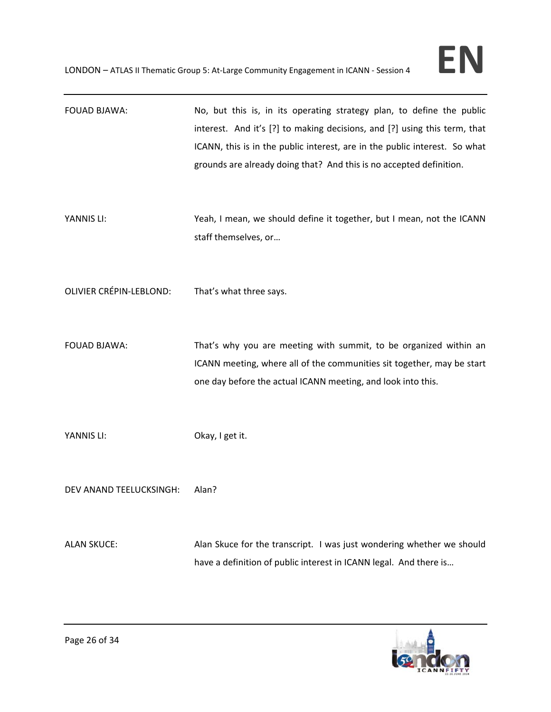| FOUAD BJAWA:                   | No, but this is, in its operating strategy plan, to define the public<br>interest. And it's [?] to making decisions, and [?] using this term, that<br>ICANN, this is in the public interest, are in the public interest. So what<br>grounds are already doing that? And this is no accepted definition. |
|--------------------------------|---------------------------------------------------------------------------------------------------------------------------------------------------------------------------------------------------------------------------------------------------------------------------------------------------------|
| YANNIS LI:                     | Yeah, I mean, we should define it together, but I mean, not the ICANN<br>staff themselves, or                                                                                                                                                                                                           |
| <b>OLIVIER CRÉPIN-LEBLOND:</b> | That's what three says.                                                                                                                                                                                                                                                                                 |
| <b>FOUAD BJAWA:</b>            | That's why you are meeting with summit, to be organized within an<br>ICANN meeting, where all of the communities sit together, may be start<br>one day before the actual ICANN meeting, and look into this.                                                                                             |
| YANNIS LI:                     | Okay, I get it.                                                                                                                                                                                                                                                                                         |
| DEV ANAND TEELUCKSINGH:        | Alan?                                                                                                                                                                                                                                                                                                   |
| <b>ALAN SKUCE:</b>             | Alan Skuce for the transcript. I was just wondering whether we should<br>have a definition of public interest in ICANN legal. And there is                                                                                                                                                              |

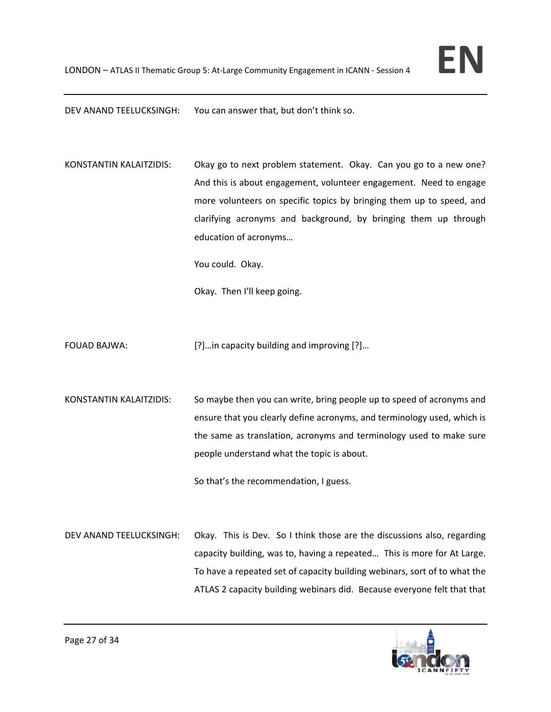DEV ANAND TEELUCKSINGH: You can answer that, but don't think so.

KONSTANTIN KALAITZIDIS: Okay go to next problem statement. Okay. Can you go to a new one? And this is about engagement, volunteer engagement. Need to engage more volunteers on specific topics by bringing them up to speed, and clarifying acronyms and background, by bringing them up through education of acronyms…

You could. Okay.

Okay. Then I'll keep going.

- FOUAD BAJWA: [?]...in capacity building and improving [?]...
- KONSTANTIN KALAITZIDIS: So maybe then you can write, bring people up to speed of acronyms and ensure that you clearly define acronyms, and terminology used, which is the same as translation, acronyms and terminology used to make sure people understand what the topic is about.

So that's the recommendation, I guess.

DEV ANAND TEELUCKSINGH: Okay. This is Dev. So I think those are the discussions also, regarding capacity building, was to, having a repeated… This is more for At Large. To have a repeated set of capacity building webinars, sort of to what the ATLAS 2 capacity building webinars did. Because everyone felt that that

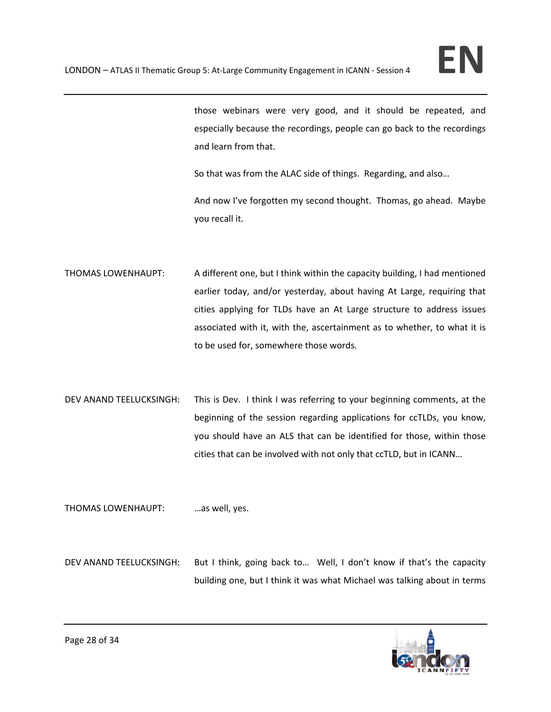those webinars were very good, and it should be repeated, and especially because the recordings, people can go back to the recordings and learn from that.

So that was from the ALAC side of things. Regarding, and also…

And now I've forgotten my second thought. Thomas, go ahead. Maybe you recall it.

- THOMAS LOWENHAUPT: A different one, but I think within the capacity building, I had mentioned earlier today, and/or yesterday, about having At Large, requiring that cities applying for TLDs have an At Large structure to address issues associated with it, with the, ascertainment as to whether, to what it is to be used for, somewhere those words.
- DEV ANAND TEELUCKSINGH: This is Dev. I think I was referring to your beginning comments, at the beginning of the session regarding applications for ccTLDs, you know, you should have an ALS that can be identified for those, within those cities that can be involved with not only that ccTLD, but in ICANN…

THOMAS LOWENHAUPT: …as well, yes.

DEV ANAND TEELUCKSINGH: But I think, going back to... Well, I don't know if that's the capacity building one, but I think it was what Michael was talking about in terms

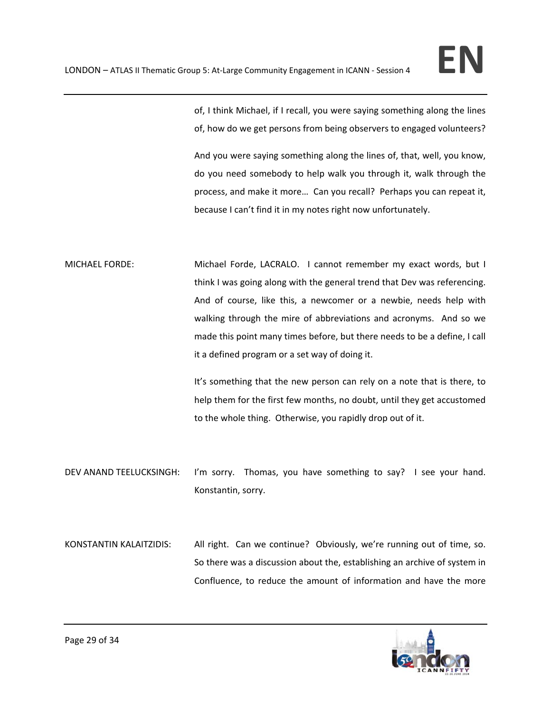of, I think Michael, if I recall, you were saying something along the lines of, how do we get persons from being observers to engaged volunteers?

And you were saying something along the lines of, that, well, you know, do you need somebody to help walk you through it, walk through the process, and make it more… Can you recall? Perhaps you can repeat it, because I can't find it in my notes right now unfortunately.

MICHAEL FORDE: Michael Forde, LACRALO. I cannot remember my exact words, but I think I was going along with the general trend that Dev was referencing. And of course, like this, a newcomer or a newbie, needs help with walking through the mire of abbreviations and acronyms. And so we made this point many times before, but there needs to be a define, I call it a defined program or a set way of doing it.

> It's something that the new person can rely on a note that is there, to help them for the first few months, no doubt, until they get accustomed to the whole thing. Otherwise, you rapidly drop out of it.

DEV ANAND TEELUCKSINGH: I'm sorry. Thomas, you have something to say? I see your hand. Konstantin, sorry.

KONSTANTIN KALAITZIDIS: All right. Can we continue? Obviously, we're running out of time, so. So there was a discussion about the, establishing an archive of system in Confluence, to reduce the amount of information and have the more

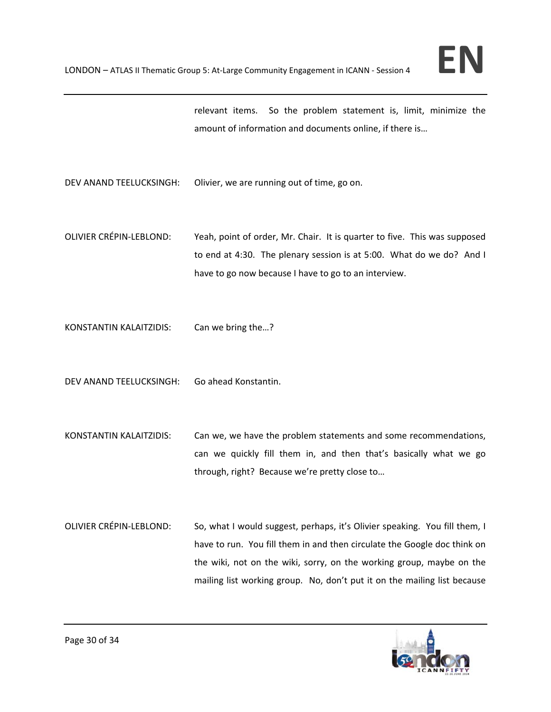relevant items. So the problem statement is, limit, minimize the amount of information and documents online, if there is…

DEV ANAND TEELUCKSINGH: Olivier, we are running out of time, go on.

- OLIVIER CRÉPIN‐LEBLOND: Yeah, point of order, Mr. Chair. It is quarter to five. This was supposed to end at 4:30. The plenary session is at 5:00. What do we do? And I have to go now because I have to go to an interview.
- KONSTANTIN KALAITZIDIS: Can we bring the…?
- DEV ANAND TEELUCKSINGH: Go ahead Konstantin.
- KONSTANTIN KALAITZIDIS: Can we, we have the problem statements and some recommendations, can we quickly fill them in, and then that's basically what we go through, right? Because we're pretty close to…
- OLIVIER CRÉPIN-LEBLOND: So, what I would suggest, perhaps, it's Olivier speaking. You fill them, I have to run. You fill them in and then circulate the Google doc think on the wiki, not on the wiki, sorry, on the working group, maybe on the mailing list working group. No, don't put it on the mailing list because

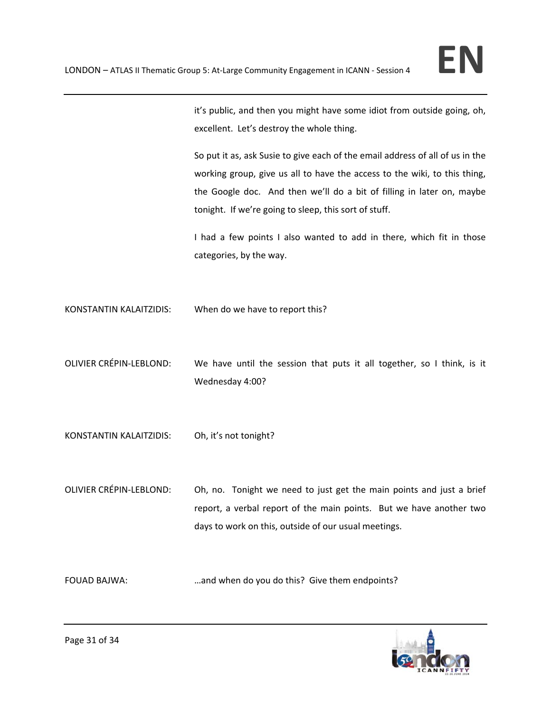

it's public, and then you might have some idiot from outside going, oh, excellent. Let's destroy the whole thing.

So put it as, ask Susie to give each of the email address of all of us in the working group, give us all to have the access to the wiki, to this thing, the Google doc. And then we'll do a bit of filling in later on, maybe tonight. If we're going to sleep, this sort of stuff.

I had a few points I also wanted to add in there, which fit in those categories, by the way.

KONSTANTIN KALAITZIDIS: When do we have to report this?

- OLIVIER CRÉPIN‐LEBLOND: We have until the session that puts it all together, so I think, is it Wednesday 4:00?
- KONSTANTIN KALAITZIDIS: Oh, it's not tonight?
- OLIVIER CRÉPIN-LEBLOND: Oh, no. Tonight we need to just get the main points and just a brief report, a verbal report of the main points. But we have another two days to work on this, outside of our usual meetings.

FOUAD BAJWA: …and when do you do this? Give them endpoints?

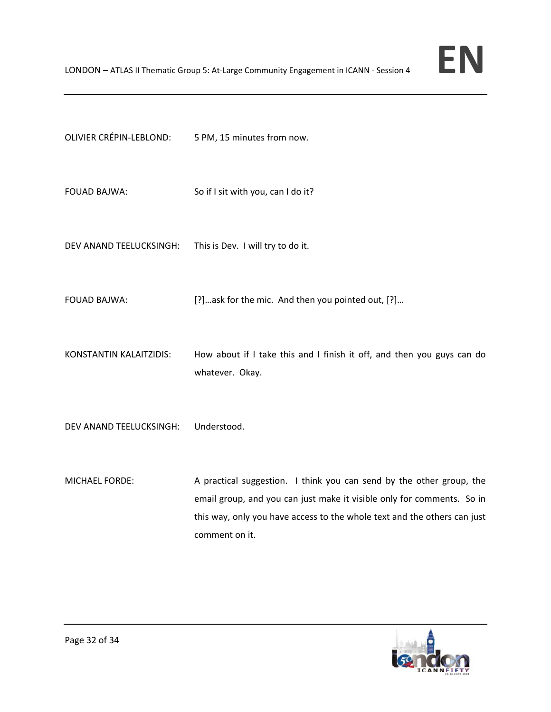| FOUAD BAJWA: | So if I sit with you, can I do it? |
|--------------|------------------------------------|

DEV ANAND TEELUCKSINGH: This is Dev. I will try to do it.

OLIVIER CRÉPIN‐LEBLOND: 5 PM, 15 minutes from now.

FOUAD BAJWA: [?]…ask for the mic. And then you pointed out, [?]…

KONSTANTIN KALAITZIDIS: How about if I take this and I finish it off, and then you guys can do whatever. Okay.

DEV ANAND TEELUCKSINGH: Understood.

MICHAEL FORDE: A practical suggestion. I think you can send by the other group, the email group, and you can just make it visible only for comments. So in this way, only you have access to the whole text and the others can just comment on it.

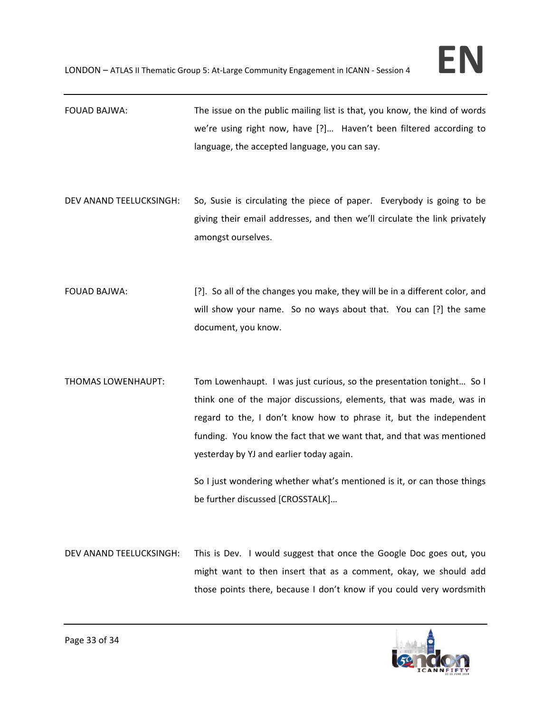- FOUAD BAJWA: The issue on the public mailing list is that, you know, the kind of words we're using right now, have [?]... Haven't been filtered according to language, the accepted language, you can say.
- DEV ANAND TEELUCKSINGH: So, Susie is circulating the piece of paper. Everybody is going to be giving their email addresses, and then we'll circulate the link privately amongst ourselves.
- FOUAD BAJWA: [?]. So all of the changes you make, they will be in a different color, and will show your name. So no ways about that. You can [?] the same document, you know.
- THOMAS LOWENHAUPT: Tom Lowenhaupt. I was just curious, so the presentation tonight… So I think one of the major discussions, elements, that was made, was in regard to the, I don't know how to phrase it, but the independent funding. You know the fact that we want that, and that was mentioned yesterday by YJ and earlier today again.

So I just wondering whether what's mentioned is it, or can those things be further discussed [CROSSTALK]…

DEV ANAND TEELUCKSINGH: This is Dev. I would suggest that once the Google Doc goes out, you might want to then insert that as a comment, okay, we should add those points there, because I don't know if you could very wordsmith